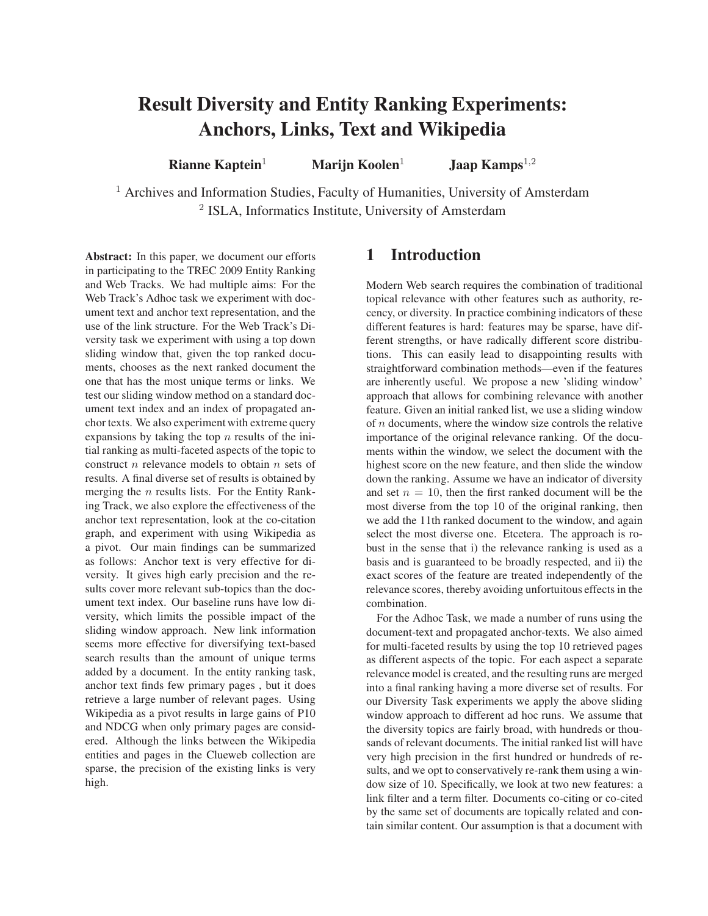# Result Diversity and Entity Ranking Experiments: Anchors, Links, Text and Wikipedia

Rianne Kaptein<sup>1</sup> Marijn Koolen<sup>1</sup> Jaap Kamps<sup>1,2</sup>

<sup>1</sup> Archives and Information Studies, Faculty of Humanities, University of Amsterdam <sup>2</sup> ISLA, Informatics Institute, University of Amsterdam

Abstract: In this paper, we document our efforts in participating to the TREC 2009 Entity Ranking and Web Tracks. We had multiple aims: For the Web Track's Adhoc task we experiment with document text and anchor text representation, and the use of the link structure. For the Web Track's Diversity task we experiment with using a top down sliding window that, given the top ranked documents, chooses as the next ranked document the one that has the most unique terms or links. We test our sliding window method on a standard document text index and an index of propagated anchor texts. We also experiment with extreme query expansions by taking the top  $n$  results of the initial ranking as multi-faceted aspects of the topic to construct  $n$  relevance models to obtain  $n$  sets of results. A final diverse set of results is obtained by merging the  $n$  results lists. For the Entity Ranking Track, we also explore the effectiveness of the anchor text representation, look at the co-citation graph, and experiment with using Wikipedia as a pivot. Our main findings can be summarized as follows: Anchor text is very effective for diversity. It gives high early precision and the results cover more relevant sub-topics than the document text index. Our baseline runs have low diversity, which limits the possible impact of the sliding window approach. New link information seems more effective for diversifying text-based search results than the amount of unique terms added by a document. In the entity ranking task, anchor text finds few primary pages , but it does retrieve a large number of relevant pages. Using Wikipedia as a pivot results in large gains of P10 and NDCG when only primary pages are considered. Although the links between the Wikipedia entities and pages in the Clueweb collection are sparse, the precision of the existing links is very high.

# 1 Introduction

Modern Web search requires the combination of traditional topical relevance with other features such as authority, recency, or diversity. In practice combining indicators of these different features is hard: features may be sparse, have different strengths, or have radically different score distributions. This can easily lead to disappointing results with straightforward combination methods—even if the features are inherently useful. We propose a new 'sliding window' approach that allows for combining relevance with another feature. Given an initial ranked list, we use a sliding window of n documents, where the window size controls the relative importance of the original relevance ranking. Of the documents within the window, we select the document with the highest score on the new feature, and then slide the window down the ranking. Assume we have an indicator of diversity and set  $n = 10$ , then the first ranked document will be the most diverse from the top 10 of the original ranking, then we add the 11th ranked document to the window, and again select the most diverse one. Etcetera. The approach is robust in the sense that i) the relevance ranking is used as a basis and is guaranteed to be broadly respected, and ii) the exact scores of the feature are treated independently of the relevance scores, thereby avoiding unfortuitous effects in the combination.

For the Adhoc Task, we made a number of runs using the document-text and propagated anchor-texts. We also aimed for multi-faceted results by using the top 10 retrieved pages as different aspects of the topic. For each aspect a separate relevance model is created, and the resulting runs are merged into a final ranking having a more diverse set of results. For our Diversity Task experiments we apply the above sliding window approach to different ad hoc runs. We assume that the diversity topics are fairly broad, with hundreds or thousands of relevant documents. The initial ranked list will have very high precision in the first hundred or hundreds of results, and we opt to conservatively re-rank them using a window size of 10. Specifically, we look at two new features: a link filter and a term filter. Documents co-citing or co-cited by the same set of documents are topically related and contain similar content. Our assumption is that a document with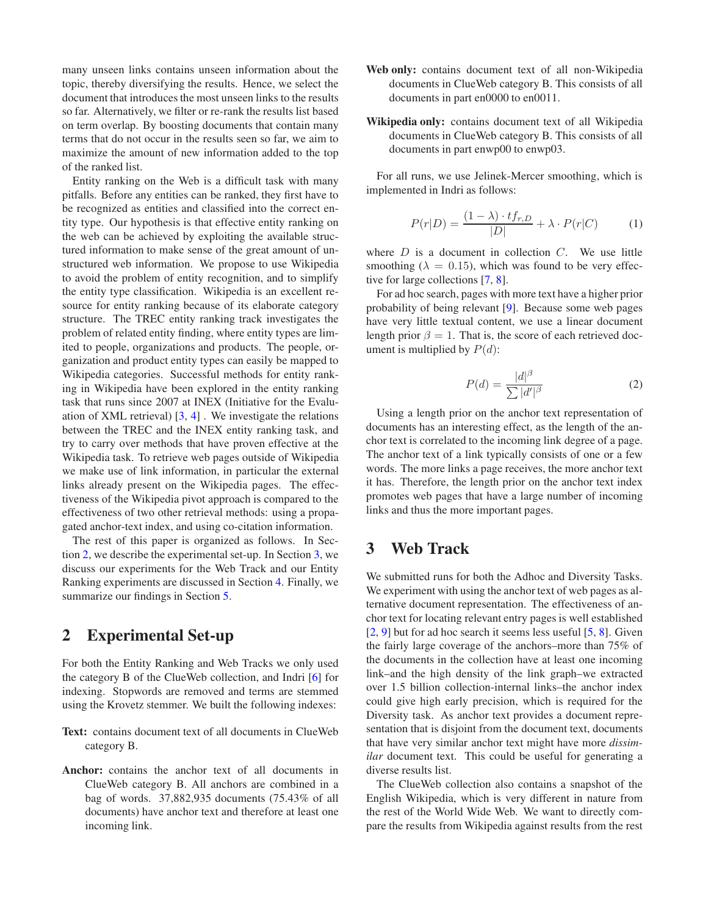many unseen links contains unseen information about the topic, thereby diversifying the results. Hence, we select the document that introduces the most unseen links to the results so far. Alternatively, we filter or re-rank the results list based on term overlap. By boosting documents that contain many terms that do not occur in the results seen so far, we aim to maximize the amount of new information added to the top of the ranked list.

Entity ranking on the Web is a difficult task with many pitfalls. Before any entities can be ranked, they first have to be recognized as entities and classified into the correct entity type. Our hypothesis is that effective entity ranking on the web can be achieved by exploiting the available structured information to make sense of the great amount of unstructured web information. We propose to use Wikipedia to avoid the problem of entity recognition, and to simplify the entity type classification. Wikipedia is an excellent resource for entity ranking because of its elaborate category structure. The TREC entity ranking track investigates the problem of related entity finding, where entity types are limited to people, organizations and products. The people, organization and product entity types can easily be mapped to Wikipedia categories. Successful methods for entity ranking in Wikipedia have been explored in the entity ranking task that runs since 2007 at INEX (Initiative for the Evaluation of XML retrieval) [\[3,](#page-9-0) [4\]](#page-9-1) . We investigate the relations between the TREC and the INEX entity ranking task, and try to carry over methods that have proven effective at the Wikipedia task. To retrieve web pages outside of Wikipedia we make use of link information, in particular the external links already present on the Wikipedia pages. The effectiveness of the Wikipedia pivot approach is compared to the effectiveness of two other retrieval methods: using a propagated anchor-text index, and using co-citation information.

The rest of this paper is organized as follows. In Section [2,](#page-1-0) we describe the experimental set-up. In Section [3,](#page-1-1) we discuss our experiments for the Web Track and our Entity Ranking experiments are discussed in Section [4.](#page-5-0) Finally, we summarize our findings in Section [5.](#page-8-0)

# <span id="page-1-0"></span>2 Experimental Set-up

For both the Entity Ranking and Web Tracks we only used the category B of the ClueWeb collection, and Indri [\[6\]](#page-9-2) for indexing. Stopwords are removed and terms are stemmed using the Krovetz stemmer. We built the following indexes:

- Text: contains document text of all documents in ClueWeb category B.
- Anchor: contains the anchor text of all documents in ClueWeb category B. All anchors are combined in a bag of words. 37,882,935 documents (75.43% of all documents) have anchor text and therefore at least one incoming link.
- Web only: contains document text of all non-Wikipedia documents in ClueWeb category B. This consists of all documents in part en0000 to en0011.
- Wikipedia only: contains document text of all Wikipedia documents in ClueWeb category B. This consists of all documents in part enwp00 to enwp03.

For all runs, we use Jelinek-Mercer smoothing, which is implemented in Indri as follows:

$$
P(r|D) = \frac{(1 - \lambda) \cdot tf_{r,D}}{|D|} + \lambda \cdot P(r|C)
$$
 (1)

where  $D$  is a document in collection  $C$ . We use little smoothing ( $\lambda = 0.15$ ), which was found to be very effective for large collections [\[7](#page-9-3), [8](#page-9-4)].

For ad hoc search, pages with more text have a higher prior probability of being relevant [\[9\]](#page-9-5). Because some web pages have very little textual content, we use a linear document length prior  $\beta = 1$ . That is, the score of each retrieved document is multiplied by  $P(d)$ :

$$
P(d) = \frac{|d|^{\beta}}{\sum |d'|^{\beta}}
$$
 (2)

Using a length prior on the anchor text representation of documents has an interesting effect, as the length of the anchor text is correlated to the incoming link degree of a page. The anchor text of a link typically consists of one or a few words. The more links a page receives, the more anchor text it has. Therefore, the length prior on the anchor text index promotes web pages that have a large number of incoming links and thus the more important pages.

# <span id="page-1-1"></span>3 Web Track

We submitted runs for both the Adhoc and Diversity Tasks. We experiment with using the anchor text of web pages as alternative document representation. The effectiveness of anchor text for locating relevant entry pages is well established [\[2](#page-9-6), [9](#page-9-5)] but for ad hoc search it seems less useful [\[5](#page-9-7), [8](#page-9-4)]. Given the fairly large coverage of the anchors–more than 75% of the documents in the collection have at least one incoming link–and the high density of the link graph–we extracted over 1.5 billion collection-internal links–the anchor index could give high early precision, which is required for the Diversity task. As anchor text provides a document representation that is disjoint from the document text, documents that have very similar anchor text might have more *dissimilar* document text. This could be useful for generating a diverse results list.

The ClueWeb collection also contains a snapshot of the English Wikipedia, which is very different in nature from the rest of the World Wide Web. We want to directly compare the results from Wikipedia against results from the rest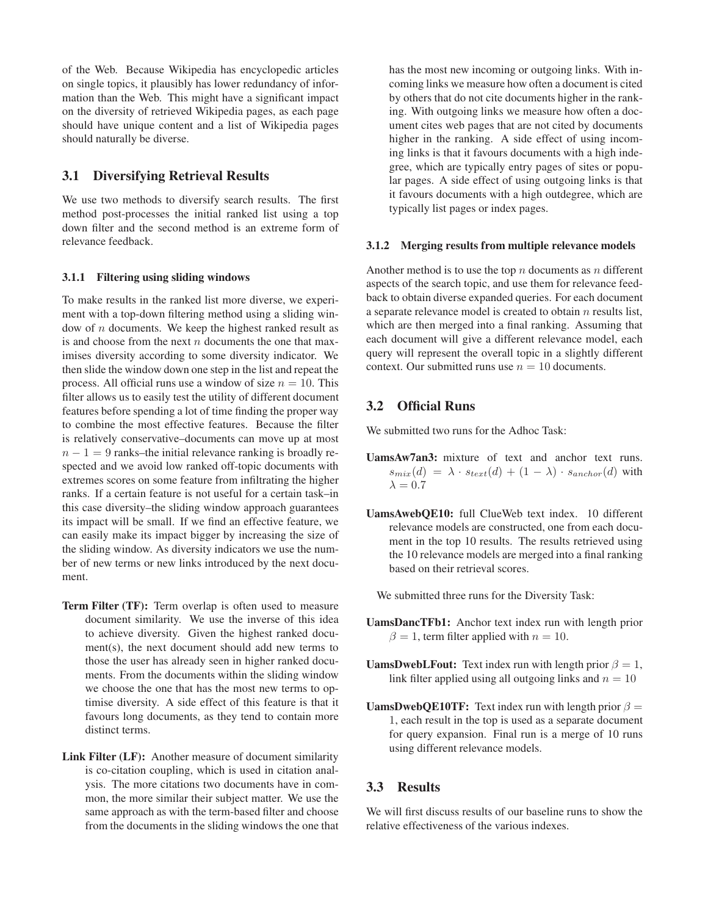of the Web. Because Wikipedia has encyclopedic articles on single topics, it plausibly has lower redundancy of information than the Web. This might have a significant impact on the diversity of retrieved Wikipedia pages, as each page should have unique content and a list of Wikipedia pages should naturally be diverse.

### 3.1 Diversifying Retrieval Results

We use two methods to diversify search results. The first method post-processes the initial ranked list using a top down filter and the second method is an extreme form of relevance feedback.

#### 3.1.1 Filtering using sliding windows

To make results in the ranked list more diverse, we experiment with a top-down filtering method using a sliding window of  $n$  documents. We keep the highest ranked result as is and choose from the next  $n$  documents the one that maximises diversity according to some diversity indicator. We then slide the window down one step in the list and repeat the process. All official runs use a window of size  $n = 10$ . This filter allows us to easily test the utility of different document features before spending a lot of time finding the proper way to combine the most effective features. Because the filter is relatively conservative–documents can move up at most  $n - 1 = 9$  ranks–the initial relevance ranking is broadly respected and we avoid low ranked off-topic documents with extremes scores on some feature from infiltrating the higher ranks. If a certain feature is not useful for a certain task–in this case diversity–the sliding window approach guarantees its impact will be small. If we find an effective feature, we can easily make its impact bigger by increasing the size of the sliding window. As diversity indicators we use the number of new terms or new links introduced by the next document.

- Term Filter (TF): Term overlap is often used to measure document similarity. We use the inverse of this idea to achieve diversity. Given the highest ranked document(s), the next document should add new terms to those the user has already seen in higher ranked documents. From the documents within the sliding window we choose the one that has the most new terms to optimise diversity. A side effect of this feature is that it favours long documents, as they tend to contain more distinct terms.
- Link Filter (LF): Another measure of document similarity is co-citation coupling, which is used in citation analysis. The more citations two documents have in common, the more similar their subject matter. We use the same approach as with the term-based filter and choose from the documents in the sliding windows the one that

has the most new incoming or outgoing links. With incoming links we measure how often a document is cited by others that do not cite documents higher in the ranking. With outgoing links we measure how often a document cites web pages that are not cited by documents higher in the ranking. A side effect of using incoming links is that it favours documents with a high indegree, which are typically entry pages of sites or popular pages. A side effect of using outgoing links is that it favours documents with a high outdegree, which are typically list pages or index pages.

#### 3.1.2 Merging results from multiple relevance models

Another method is to use the top  $n$  documents as  $n$  different aspects of the search topic, and use them for relevance feedback to obtain diverse expanded queries. For each document a separate relevance model is created to obtain  $n$  results list, which are then merged into a final ranking. Assuming that each document will give a different relevance model, each query will represent the overall topic in a slightly different context. Our submitted runs use  $n = 10$  documents.

### 3.2 Official Runs

We submitted two runs for the Adhoc Task:

- UamsAw7an3: mixture of text and anchor text runs.  $s_{mix}(d) = \lambda \cdot s_{text}(d) + (1 - \lambda) \cdot s_{anchor}(d)$  with  $\lambda = 0.7$
- UamsAwebQE10: full ClueWeb text index. 10 different relevance models are constructed, one from each document in the top 10 results. The results retrieved using the 10 relevance models are merged into a final ranking based on their retrieval scores.

We submitted three runs for the Diversity Task:

- UamsDancTFb1: Anchor text index run with length prior  $\beta = 1$ , term filter applied with  $n = 10$ .
- **UamsDwebLFout:** Text index run with length prior  $\beta = 1$ , link filter applied using all outgoing links and  $n = 10$
- UamsDwebQE10TF: Text index run with length prior  $\beta =$ 1, each result in the top is used as a separate document for query expansion. Final run is a merge of 10 runs using different relevance models.

### 3.3 Results

We will first discuss results of our baseline runs to show the relative effectiveness of the various indexes.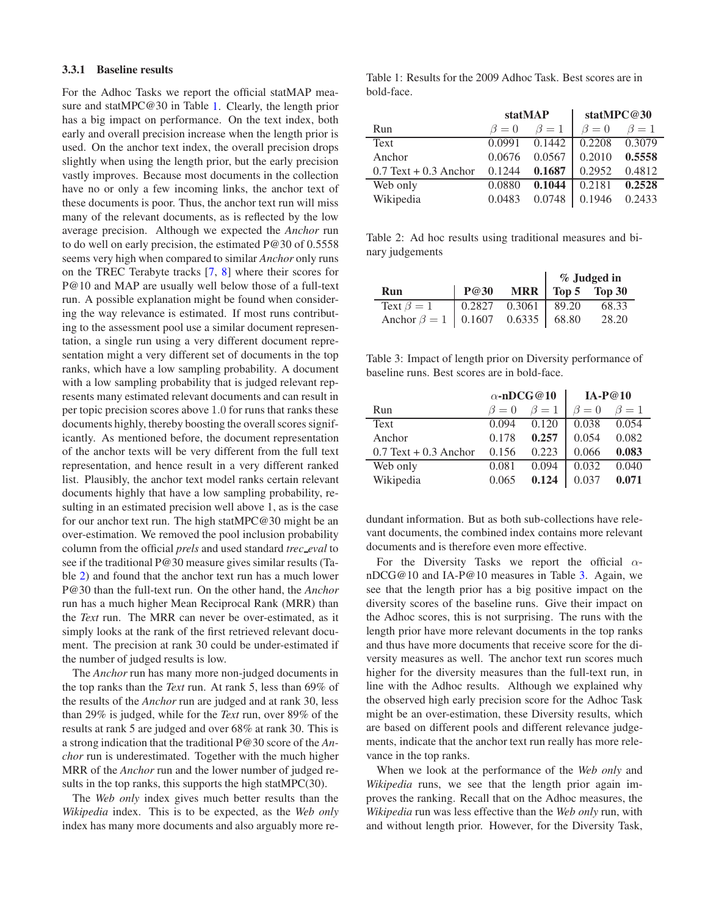#### 3.3.1 Baseline results

For the Adhoc Tasks we report the official statMAP measure and statMPC@30 in Table [1.](#page-3-0) Clearly, the length prior has a big impact on performance. On the text index, both early and overall precision increase when the length prior is used. On the anchor text index, the overall precision drops slightly when using the length prior, but the early precision vastly improves. Because most documents in the collection have no or only a few incoming links, the anchor text of these documents is poor. Thus, the anchor text run will miss many of the relevant documents, as is reflected by the low average precision. Although we expected the *Anchor* run to do well on early precision, the estimated P@30 of 0.5558 seems very high when compared to similar *Anchor* only runs on the TREC Terabyte tracks [\[7,](#page-9-3) [8\]](#page-9-4) where their scores for P@10 and MAP are usually well below those of a full-text run. A possible explanation might be found when considering the way relevance is estimated. If most runs contributing to the assessment pool use a similar document representation, a single run using a very different document representation might a very different set of documents in the top ranks, which have a low sampling probability. A document with a low sampling probability that is judged relevant represents many estimated relevant documents and can result in per topic precision scores above 1.0 for runs that ranks these documents highly, thereby boosting the overall scores significantly. As mentioned before, the document representation of the anchor texts will be very different from the full text representation, and hence result in a very different ranked list. Plausibly, the anchor text model ranks certain relevant documents highly that have a low sampling probability, resulting in an estimated precision well above 1, as is the case for our anchor text run. The high statMPC@30 might be an over-estimation. We removed the pool inclusion probability column from the official *prels* and used standard *trec eval* to see if the traditional P@30 measure gives similar results (Table [2\)](#page-3-1) and found that the anchor text run has a much lower P@30 than the full-text run. On the other hand, the *Anchor* run has a much higher Mean Reciprocal Rank (MRR) than the *Text* run. The MRR can never be over-estimated, as it simply looks at the rank of the first retrieved relevant document. The precision at rank 30 could be under-estimated if the number of judged results is low.

The *Anchor* run has many more non-judged documents in the top ranks than the *Text* run. At rank 5, less than 69% of the results of the *Anchor* run are judged and at rank 30, less than 29% is judged, while for the *Text* run, over 89% of the results at rank 5 are judged and over 68% at rank 30. This is a strong indication that the traditional P@30 score of the *Anchor* run is underestimated. Together with the much higher MRR of the *Anchor* run and the lower number of judged results in the top ranks, this supports the high statMPC(30).

The *Web only* index gives much better results than the *Wikipedia* index. This is to be expected, as the *Web only* index has many more documents and also arguably more re<span id="page-3-0"></span>Table 1: Results for the 2009 Adhoc Task. Best scores are in bold-face.

|                         |             | statMAP     | statMP $C@30$ |           |  |
|-------------------------|-------------|-------------|---------------|-----------|--|
| Run                     | $\beta = 0$ | $\beta = 1$ | $\beta = 0$   | $\beta=1$ |  |
| Text                    | 0.0991      | 0.1442      | 0.2208        | 0.3079    |  |
| Anchor                  | 0.0676      | 0.0567      | 0.2010        | 0.5558    |  |
| $0.7$ Text + 0.3 Anchor | 0.1244      | 0.1687      | 0.2952        | 0.4812    |  |
| Web only                | 0.0880      | 0.1044      | 0.2181        | 0.2528    |  |
| Wikipedia               | 0.0483      | 0.0748      | 0.1946        | 0.2433    |  |

<span id="page-3-1"></span>Table 2: Ad hoc results using traditional measures and binary judgements

|                                            |      |                                                                                      | % Judged in |                  |  |
|--------------------------------------------|------|--------------------------------------------------------------------------------------|-------------|------------------|--|
| Run                                        | P@30 | <b>MRR</b>                                                                           |             | Top $5$ Top $30$ |  |
| Text $\beta = 1$                           |      | $\begin{array}{ c c c c c c c c } \hline 0.2827 & 0.3061 & 89.20 \hline \end{array}$ |             | 68.33            |  |
| Anchor $\beta = 1$   0.1607 0.6335   68.80 |      |                                                                                      |             | 28.20            |  |

<span id="page-3-2"></span>Table 3: Impact of length prior on Diversity performance of baseline runs. Best scores are in bold-face.

|                         | $\alpha$ -nDCG@10 |           | $IA-P@10$   |             |
|-------------------------|-------------------|-----------|-------------|-------------|
| Run                     | $\beta = 0$       | $\beta=1$ | $\beta = 0$ | $\beta = 1$ |
| Text                    | 0.094             | 0.120     | 0.038       | 0.054       |
| Anchor                  | 0.178             | 0.257     | 0.054       | 0.082       |
| $0.7$ Text + 0.3 Anchor | 0.156             | 0.223     | 0.066       | 0.083       |
| Web only                | 0.081             | 0.094     | 0.032       | 0.040       |
| Wikipedia               | 0.065             | 0.124     |             | 0.071       |

dundant information. But as both sub-collections have relevant documents, the combined index contains more relevant documents and is therefore even more effective.

For the Diversity Tasks we report the official  $\alpha$ nDCG@10 and IA-P@10 measures in Table [3.](#page-3-2) Again, we see that the length prior has a big positive impact on the diversity scores of the baseline runs. Give their impact on the Adhoc scores, this is not surprising. The runs with the length prior have more relevant documents in the top ranks and thus have more documents that receive score for the diversity measures as well. The anchor text run scores much higher for the diversity measures than the full-text run, in line with the Adhoc results. Although we explained why the observed high early precision score for the Adhoc Task might be an over-estimation, these Diversity results, which are based on different pools and different relevance judgements, indicate that the anchor text run really has more relevance in the top ranks.

When we look at the performance of the *Web only* and *Wikipedia* runs, we see that the length prior again improves the ranking. Recall that on the Adhoc measures, the *Wikipedia* run was less effective than the *Web only* run, with and without length prior. However, for the Diversity Task,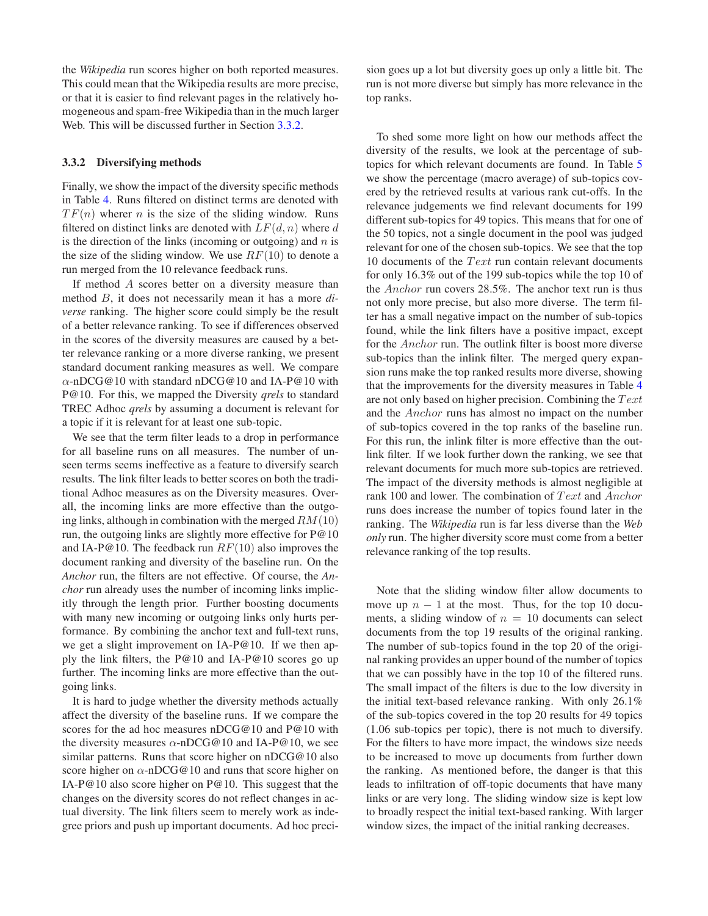the *Wikipedia* run scores higher on both reported measures. This could mean that the Wikipedia results are more precise, or that it is easier to find relevant pages in the relatively homogeneous and spam-free Wikipedia than in the much larger Web. This will be discussed further in Section [3.3.2.](#page-4-0)

#### <span id="page-4-0"></span>3.3.2 Diversifying methods

Finally, we show the impact of the diversity specific methods in Table [4.](#page-5-1) Runs filtered on distinct terms are denoted with  $TF(n)$  wherer *n* is the size of the sliding window. Runs filtered on distinct links are denoted with  $LF(d, n)$  where d is the direction of the links (incoming or outgoing) and  $n$  is the size of the sliding window. We use  $RF(10)$  to denote a run merged from the 10 relevance feedback runs.

If method A scores better on a diversity measure than method B, it does not necessarily mean it has a more *diverse* ranking. The higher score could simply be the result of a better relevance ranking. To see if differences observed in the scores of the diversity measures are caused by a better relevance ranking or a more diverse ranking, we present standard document ranking measures as well. We compare α-nDCG@10 with standard nDCG@10 and IA-P@10 with P@10. For this, we mapped the Diversity *qrels* to standard TREC Adhoc *qrels* by assuming a document is relevant for a topic if it is relevant for at least one sub-topic.

We see that the term filter leads to a drop in performance for all baseline runs on all measures. The number of unseen terms seems ineffective as a feature to diversify search results. The link filter leads to better scores on both the traditional Adhoc measures as on the Diversity measures. Overall, the incoming links are more effective than the outgoing links, although in combination with the merged  $RM(10)$ run, the outgoing links are slightly more effective for P@10 and IA-P@10. The feedback run  $RF(10)$  also improves the document ranking and diversity of the baseline run. On the *Anchor* run, the filters are not effective. Of course, the *Anchor* run already uses the number of incoming links implicitly through the length prior. Further boosting documents with many new incoming or outgoing links only hurts performance. By combining the anchor text and full-text runs, we get a slight improvement on IA-P@10. If we then apply the link filters, the P@10 and IA-P@10 scores go up further. The incoming links are more effective than the outgoing links.

It is hard to judge whether the diversity methods actually affect the diversity of the baseline runs. If we compare the scores for the ad hoc measures nDCG@10 and P@10 with the diversity measures  $\alpha$ -nDCG@10 and IA-P@10, we see similar patterns. Runs that score higher on nDCG@10 also score higher on  $\alpha$ -nDCG@10 and runs that score higher on IA-P@10 also score higher on P@10. This suggest that the changes on the diversity scores do not reflect changes in actual diversity. The link filters seem to merely work as indegree priors and push up important documents. Ad hoc precision goes up a lot but diversity goes up only a little bit. The run is not more diverse but simply has more relevance in the top ranks.

To shed some more light on how our methods affect the diversity of the results, we look at the percentage of subtopics for which relevant documents are found. In Table [5](#page-5-2) we show the percentage (macro average) of sub-topics covered by the retrieved results at various rank cut-offs. In the relevance judgements we find relevant documents for 199 different sub-topics for 49 topics. This means that for one of the 50 topics, not a single document in the pool was judged relevant for one of the chosen sub-topics. We see that the top 10 documents of the  $Text$  run contain relevant documents for only 16.3% out of the 199 sub-topics while the top 10 of the Anchor run covers 28.5%. The anchor text run is thus not only more precise, but also more diverse. The term filter has a small negative impact on the number of sub-topics found, while the link filters have a positive impact, except for the Anchor run. The outlink filter is boost more diverse sub-topics than the inlink filter. The merged query expansion runs make the top ranked results more diverse, showing that the improvements for the diversity measures in Table [4](#page-5-1) are not only based on higher precision. Combining the  $Text$ and the Anchor runs has almost no impact on the number of sub-topics covered in the top ranks of the baseline run. For this run, the inlink filter is more effective than the outlink filter. If we look further down the ranking, we see that relevant documents for much more sub-topics are retrieved. The impact of the diversity methods is almost negligible at rank 100 and lower. The combination of  $Text$  and  $Anchor$ runs does increase the number of topics found later in the ranking. The *Wikipedia* run is far less diverse than the *Web only* run. The higher diversity score must come from a better relevance ranking of the top results.

Note that the sliding window filter allow documents to move up  $n - 1$  at the most. Thus, for the top 10 documents, a sliding window of  $n = 10$  documents can select documents from the top 19 results of the original ranking. The number of sub-topics found in the top 20 of the original ranking provides an upper bound of the number of topics that we can possibly have in the top 10 of the filtered runs. The small impact of the filters is due to the low diversity in the initial text-based relevance ranking. With only 26.1% of the sub-topics covered in the top 20 results for 49 topics (1.06 sub-topics per topic), there is not much to diversify. For the filters to have more impact, the windows size needs to be increased to move up documents from further down the ranking. As mentioned before, the danger is that this leads to infiltration of off-topic documents that have many links or are very long. The sliding window size is kept low to broadly respect the initial text-based ranking. With larger window sizes, the impact of the initial ranking decreases.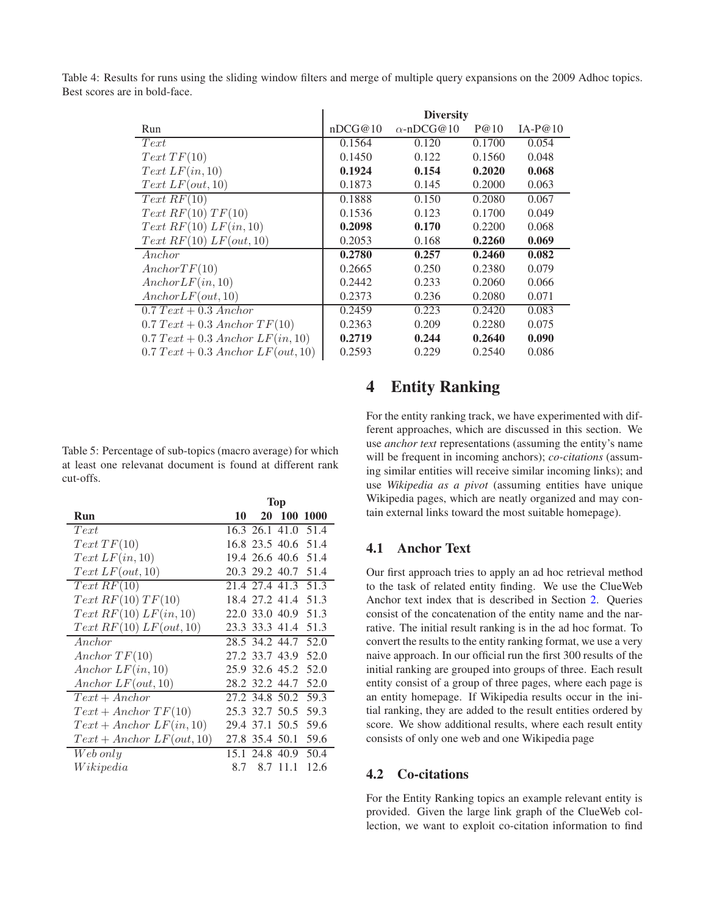|                                                               | <b>Diversity</b> |                   |        |           |
|---------------------------------------------------------------|------------------|-------------------|--------|-----------|
| Run                                                           | nDCG@10          | $\alpha$ -nDCG@10 | P@10   | $IA-P@10$ |
| Text                                                          | 0.1564           | 0.120             | 0.1700 | 0.054     |
| Text TF(10)                                                   | 0.1450           | 0.122             | 0.1560 | 0.048     |
| Text LF(in, 10)                                               | 0.1924           | 0.154             | 0.2020 | 0.068     |
| Text LF(out, 10)                                              | 0.1873           | 0.145             | 0.2000 | 0.063     |
| Text RF(10)                                                   | 0.1888           | 0.150             | 0.2080 | 0.067     |
| Text RF(10) TF(10)                                            | 0.1536           | 0.123             | 0.1700 | 0.049     |
| Text RF(10) LF(in, 10)                                        | 0.2098           | 0.170             | 0.2200 | 0.068     |
| Text RF(10) LF(out, 10)                                       | 0.2053           | 0.168             | 0.2260 | 0.069     |
| Anchor                                                        | 0.2780           | 0.257             | 0.2460 | 0.082     |
| Another TF(10)                                                | 0.2665           | 0.250             | 0.2380 | 0.079     |
| Another LF(in, 10)                                            | 0.2442           | 0.233             | 0.2060 | 0.066     |
| Another LF(out, 10)                                           | 0.2373           | 0.236             | 0.2080 | 0.071     |
| $0.7 \text{ Text} + 0.3 \text{ Andrew}$                       | 0.2459           | 0.223             | 0.2420 | 0.083     |
| $0.7 \text{ Text} + 0.3 \text{ } Another \text{ } TF(10)$     | 0.2363           | 0.209             | 0.2280 | 0.075     |
| $0.7 \text{ Text} + 0.3 \text{ } Another \text{ } LF(in, 10)$ | 0.2719           | 0.244             | 0.2640 | 0.090     |
| $0.7 \text{ Text} + 0.3 \text{ Another LF}(out, 10)$          | 0.2593           | 0.229             | 0.2540 | 0.086     |

<span id="page-5-1"></span>Table 4: Results for runs using the sliding window filters and merge of multiple query expansions on the 2009 Adhoc topics. Best scores are in bold-face.

<span id="page-5-2"></span>Table 5: Percentage of sub-topics (macro average) for which at least one relevanat document is found at different rank cut-offs.

|                             | <b>Top</b>     |     |      |             |
|-----------------------------|----------------|-----|------|-------------|
| Run                         | 10             |     |      | 20 100 1000 |
| Text                        | 16.3 26.1 41.0 |     |      | 51.4        |
| TextTF(10)                  | 16.8 23.5 40.6 |     |      | 51.4        |
| Text LF(in, 10)             | 19.4 26.6 40.6 |     |      | 51.4        |
| $Text\,LF(out,10)$          | 20.3 29.2 40.7 |     |      | 51.4        |
| Text RF(10)                 | 21.4 27.4 41.3 |     |      | 51.3        |
| Text RF(10) TF(10)          | 18.4 27.2 41.4 |     |      | 51.3        |
| Text RF(10) LF(in, 10)      | 22.0 33.0 40.9 |     |      | 51.3        |
| Text RF(10) LF(out, 10)     | 23.3 33.3 41.4 |     |      | 51.3        |
| Anchor                      | 28.5 34.2 44.7 |     |      | 52.0        |
| Another TF(10)              | 27.2 33.7 43.9 |     |      | 52.0        |
| Anchor $LF(in, 10)$         | 25.9 32.6 45.2 |     |      | 52.0        |
| Another LF(out, 10)         | 28.2 32.2 44.7 |     |      | 52.0        |
| $Text + Anchor$             | 27.2 34.8 50.2 |     |      | 59.3        |
| $Text + Anchor TF(10)$      | 25.3 32.7 50.5 |     |      | 59.3        |
| $Text + Anchor LF(in, 10)$  | 29.4 37.1 50.5 |     |      | 59.6        |
| $Text + Anchor LF(out, 10)$ | 27.8 35.4 50.1 |     |      | 59.6        |
| Web~only                    | 15.1 24.8 40.9 |     |      | 50.4        |
| Wikipedia                   | 8.7            | 8.7 | 11.1 | 12.6        |

# <span id="page-5-0"></span>4 Entity Ranking

For the entity ranking track, we have experimented with different approaches, which are discussed in this section. We use *anchor text* representations (assuming the entity's name will be frequent in incoming anchors); *co-citations* (assuming similar entities will receive similar incoming links); and use *Wikipedia as a pivot* (assuming entities have unique Wikipedia pages, which are neatly organized and may contain external links toward the most suitable homepage).

## 4.1 Anchor Text

Our first approach tries to apply an ad hoc retrieval method to the task of related entity finding. We use the ClueWeb Anchor text index that is described in Section [2.](#page-1-0) Queries consist of the concatenation of the entity name and the narrative. The initial result ranking is in the ad hoc format. To convert the results to the entity ranking format, we use a very naive approach. In our official run the first 300 results of the initial ranking are grouped into groups of three. Each result entity consist of a group of three pages, where each page is an entity homepage. If Wikipedia results occur in the initial ranking, they are added to the result entities ordered by score. We show additional results, where each result entity consists of only one web and one Wikipedia page

## 4.2 Co-citations

For the Entity Ranking topics an example relevant entity is provided. Given the large link graph of the ClueWeb collection, we want to exploit co-citation information to find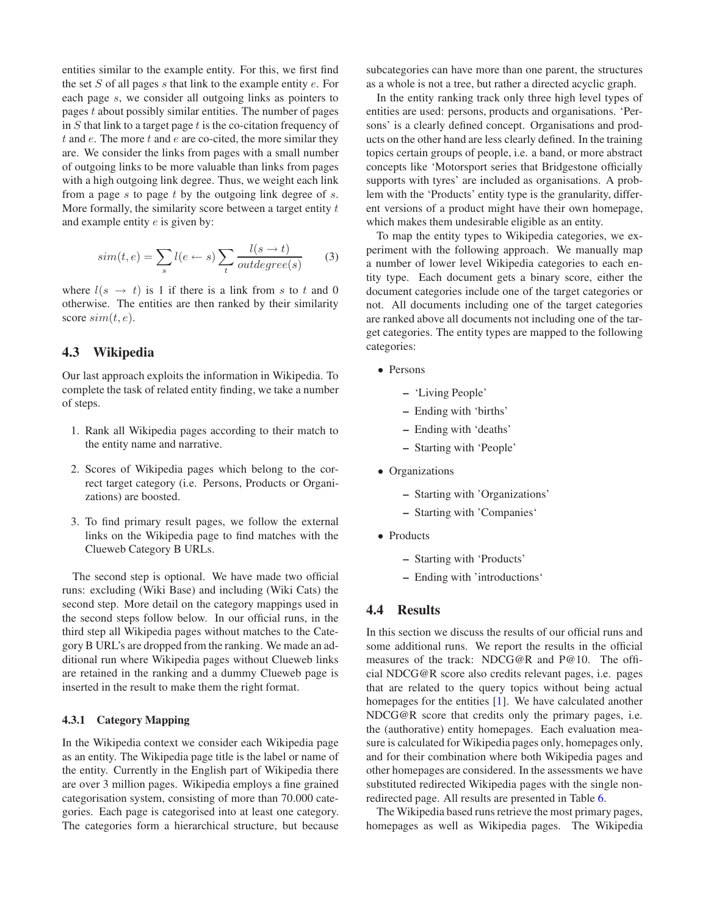entities similar to the example entity. For this, we first find the set  $S$  of all pages  $s$  that link to the example entity  $e$ . For each page s, we consider all outgoing links as pointers to pages  $t$  about possibly similar entities. The number of pages in  $S$  that link to a target page  $t$  is the co-citation frequency of  $t$  and  $e$ . The more  $t$  and  $e$  are co-cited, the more similar they are. We consider the links from pages with a small number of outgoing links to be more valuable than links from pages with a high outgoing link degree. Thus, we weight each link from a page s to page t by the outgoing link degree of s. More formally, the similarity score between a target entity  $t$ and example entity  $e$  is given by:

$$
sim(t, e) = \sum_{s} l(e \leftarrow s) \sum_{t} \frac{l(s \rightarrow t)}{outdegree(s)} \tag{3}
$$

where  $l(s \rightarrow t)$  is 1 if there is a link from s to t and 0 otherwise. The entities are then ranked by their similarity score  $sim(t, e)$ .

### 4.3 Wikipedia

Our last approach exploits the information in Wikipedia. To complete the task of related entity finding, we take a number of steps.

- 1. Rank all Wikipedia pages according to their match to the entity name and narrative.
- 2. Scores of Wikipedia pages which belong to the correct target category (i.e. Persons, Products or Organizations) are boosted.
- 3. To find primary result pages, we follow the external links on the Wikipedia page to find matches with the Clueweb Category B URLs.

The second step is optional. We have made two official runs: excluding (Wiki Base) and including (Wiki Cats) the second step. More detail on the category mappings used in the second steps follow below. In our official runs, in the third step all Wikipedia pages without matches to the Category B URL's are dropped from the ranking. We made an additional run where Wikipedia pages without Clueweb links are retained in the ranking and a dummy Clueweb page is inserted in the result to make them the right format.

#### 4.3.1 Category Mapping

In the Wikipedia context we consider each Wikipedia page as an entity. The Wikipedia page title is the label or name of the entity. Currently in the English part of Wikipedia there are over 3 million pages. Wikipedia employs a fine grained categorisation system, consisting of more than 70.000 categories. Each page is categorised into at least one category. The categories form a hierarchical structure, but because subcategories can have more than one parent, the structures as a whole is not a tree, but rather a directed acyclic graph.

In the entity ranking track only three high level types of entities are used: persons, products and organisations. 'Persons' is a clearly defined concept. Organisations and products on the other hand are less clearly defined. In the training topics certain groups of people, i.e. a band, or more abstract concepts like 'Motorsport series that Bridgestone officially supports with tyres' are included as organisations. A problem with the 'Products' entity type is the granularity, different versions of a product might have their own homepage, which makes them undesirable eligible as an entity.

To map the entity types to Wikipedia categories, we experiment with the following approach. We manually map a number of lower level Wikipedia categories to each entity type. Each document gets a binary score, either the document categories include one of the target categories or not. All documents including one of the target categories are ranked above all documents not including one of the target categories. The entity types are mapped to the following categories:

- Persons
	- 'Living People'
	- Ending with 'births'
	- Ending with 'deaths'
	- Starting with 'People'
- Organizations
	- Starting with 'Organizations'
	- Starting with 'Companies'
- Products
	- Starting with 'Products'
	- Ending with 'introductions'

### 4.4 Results

In this section we discuss the results of our official runs and some additional runs. We report the results in the official measures of the track: NDCG@R and P@10. The official NDCG@R score also credits relevant pages, i.e. pages that are related to the query topics without being actual homepages for the entities [\[1\]](#page-9-8). We have calculated another NDCG@R score that credits only the primary pages, i.e. the (authorative) entity homepages. Each evaluation measure is calculated for Wikipedia pages only, homepages only, and for their combination where both Wikipedia pages and other homepages are considered. In the assessments we have substituted redirected Wikipedia pages with the single nonredirected page. All results are presented in Table [6.](#page-7-0)

The Wikipedia based runs retrieve the most primary pages, homepages as well as Wikipedia pages. The Wikipedia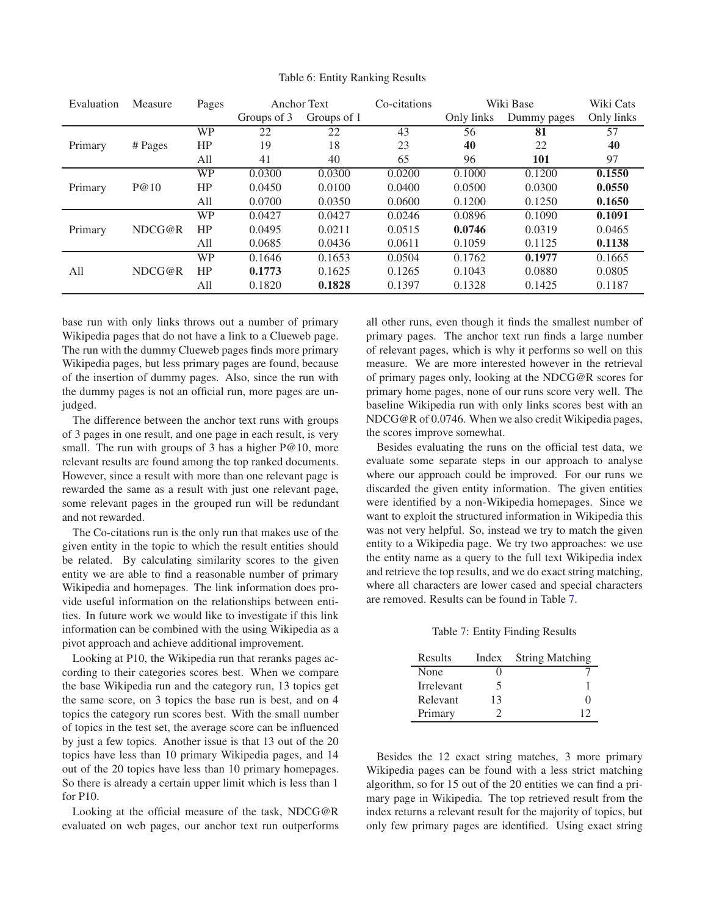| Evaluation      | Measure | Pages     | Anchor Text |             | Co-citations | Wiki Base  |             | Wiki Cats  |
|-----------------|---------|-----------|-------------|-------------|--------------|------------|-------------|------------|
|                 |         |           | Groups of 3 | Groups of 1 |              | Only links | Dummy pages | Only links |
|                 |         | <b>WP</b> | 22          | 22          | 43           | 56         | 81          | 57         |
| Primary         | # Pages | HP        | 19          | 18          | 23           | 40         | 22          | 40         |
|                 |         | All       | 41          | 40          | 65           | 96         | 101         | 97         |
|                 |         | <b>WP</b> | 0.0300      | 0.0300      | 0.0200       | 0.1000     | 0.1200      | 0.1550     |
| P@10<br>Primary |         | HP        | 0.0450      | 0.0100      | 0.0400       | 0.0500     | 0.0300      | 0.0550     |
|                 |         | All       | 0.0700      | 0.0350      | 0.0600       | 0.1200     | 0.1250      | 0.1650     |
|                 |         | <b>WP</b> | 0.0427      | 0.0427      | 0.0246       | 0.0896     | 0.1090      | 0.1091     |
| Primary         | NDCG@R  | HP        | 0.0495      | 0.0211      | 0.0515       | 0.0746     | 0.0319      | 0.0465     |
|                 |         | All       | 0.0685      | 0.0436      | 0.0611       | 0.1059     | 0.1125      | 0.1138     |
|                 |         | <b>WP</b> | 0.1646      | 0.1653      | 0.0504       | 0.1762     | 0.1977      | 0.1665     |
| All             | NDCG@R  | HP        | 0.1773      | 0.1625      | 0.1265       | 0.1043     | 0.0880      | 0.0805     |
|                 |         | All       | 0.1820      | 0.1828      | 0.1397       | 0.1328     | 0.1425      | 0.1187     |

<span id="page-7-0"></span>Table 6: Entity Ranking Results

base run with only links throws out a number of primary Wikipedia pages that do not have a link to a Clueweb page. The run with the dummy Clueweb pages finds more primary Wikipedia pages, but less primary pages are found, because of the insertion of dummy pages. Also, since the run with the dummy pages is not an official run, more pages are unjudged.

The difference between the anchor text runs with groups of 3 pages in one result, and one page in each result, is very small. The run with groups of 3 has a higher P@10, more relevant results are found among the top ranked documents. However, since a result with more than one relevant page is rewarded the same as a result with just one relevant page, some relevant pages in the grouped run will be redundant and not rewarded.

The Co-citations run is the only run that makes use of the given entity in the topic to which the result entities should be related. By calculating similarity scores to the given entity we are able to find a reasonable number of primary Wikipedia and homepages. The link information does provide useful information on the relationships between entities. In future work we would like to investigate if this link information can be combined with the using Wikipedia as a pivot approach and achieve additional improvement.

Looking at P10, the Wikipedia run that reranks pages according to their categories scores best. When we compare the base Wikipedia run and the category run, 13 topics get the same score, on 3 topics the base run is best, and on 4 topics the category run scores best. With the small number of topics in the test set, the average score can be influenced by just a few topics. Another issue is that 13 out of the 20 topics have less than 10 primary Wikipedia pages, and 14 out of the 20 topics have less than 10 primary homepages. So there is already a certain upper limit which is less than 1 for P10.

Looking at the official measure of the task, NDCG@R evaluated on web pages, our anchor text run outperforms all other runs, even though it finds the smallest number of primary pages. The anchor text run finds a large number of relevant pages, which is why it performs so well on this measure. We are more interested however in the retrieval of primary pages only, looking at the NDCG@R scores for primary home pages, none of our runs score very well. The baseline Wikipedia run with only links scores best with an NDCG@R of 0.0746. When we also credit Wikipedia pages, the scores improve somewhat.

Besides evaluating the runs on the official test data, we evaluate some separate steps in our approach to analyse where our approach could be improved. For our runs we discarded the given entity information. The given entities were identified by a non-Wikipedia homepages. Since we want to exploit the structured information in Wikipedia this was not very helpful. So, instead we try to match the given entity to a Wikipedia page. We try two approaches: we use the entity name as a query to the full text Wikipedia index and retrieve the top results, and we do exact string matching, where all characters are lower cased and special characters are removed. Results can be found in Table [7.](#page-7-1)

Table 7: Entity Finding Results

<span id="page-7-1"></span>

| Results           | Index | <b>String Matching</b> |
|-------------------|-------|------------------------|
| None              |       |                        |
| <b>Irrelevant</b> | ╮     |                        |
| Relevant          | 13    | $\mathbf{I}$           |
| Primary           |       | 12                     |

Besides the 12 exact string matches, 3 more primary Wikipedia pages can be found with a less strict matching algorithm, so for 15 out of the 20 entities we can find a primary page in Wikipedia. The top retrieved result from the index returns a relevant result for the majority of topics, but only few primary pages are identified. Using exact string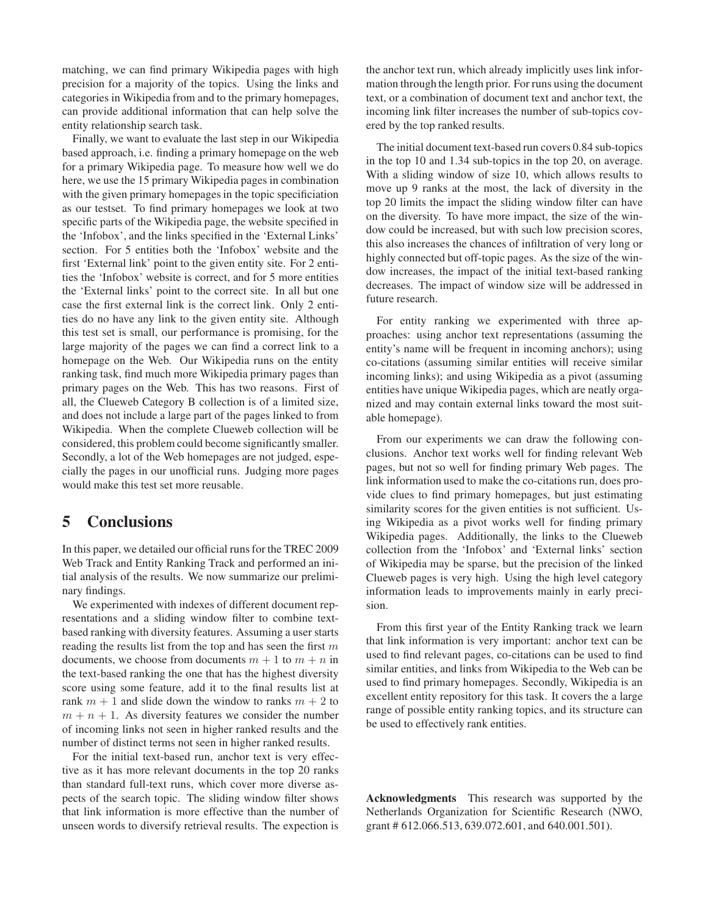matching, we can find primary Wikipedia pages with high precision for a majority of the topics. Using the links and categories in Wikipedia from and to the primary homepages, can provide additional information that can help solve the entity relationship search task.

Finally, we want to evaluate the last step in our Wikipedia based approach, i.e. finding a primary homepage on the web for a primary Wikipedia page. To measure how well we do here, we use the 15 primary Wikipedia pages in combination with the given primary homepages in the topic specificiation as our testset. To find primary homepages we look at two specific parts of the Wikipedia page, the website specified in the 'Infobox', and the links specified in the 'External Links' section. For 5 entities both the 'Infobox' website and the first 'External link' point to the given entity site. For 2 entities the 'Infobox' website is correct, and for 5 more entities the 'External links' point to the correct site. In all but one case the first external link is the correct link. Only 2 entities do no have any link to the given entity site. Although this test set is small, our performance is promising, for the large majority of the pages we can find a correct link to a homepage on the Web. Our Wikipedia runs on the entity ranking task, find much more Wikipedia primary pages than primary pages on the Web. This has two reasons. First of all, the Clueweb Category B collection is of a limited size, and does not include a large part of the pages linked to from Wikipedia. When the complete Clueweb collection will be considered, this problem could become significantly smaller. Secondly, a lot of the Web homepages are not judged, especially the pages in our unofficial runs. Judging more pages would make this test set more reusable.

# <span id="page-8-0"></span>5 Conclusions

In this paper, we detailed our official runs for the TREC 2009 Web Track and Entity Ranking Track and performed an initial analysis of the results. We now summarize our preliminary findings.

We experimented with indexes of different document representations and a sliding window filter to combine textbased ranking with diversity features. Assuming a user starts reading the results list from the top and has seen the first  $m$ documents, we choose from documents  $m + 1$  to  $m + n$  in the text-based ranking the one that has the highest diversity score using some feature, add it to the final results list at rank  $m + 1$  and slide down the window to ranks  $m + 2$  to  $m + n + 1$ . As diversity features we consider the number of incoming links not seen in higher ranked results and the number of distinct terms not seen in higher ranked results.

For the initial text-based run, anchor text is very effective as it has more relevant documents in the top 20 ranks than standard full-text runs, which cover more diverse aspects of the search topic. The sliding window filter shows that link information is more effective than the number of unseen words to diversify retrieval results. The expection is

the anchor text run, which already implicitly uses link information through the length prior. For runs using the document text, or a combination of document text and anchor text, the incoming link filter increases the number of sub-topics covered by the top ranked results.

The initial document text-based run covers 0.84 sub-topics in the top 10 and 1.34 sub-topics in the top 20, on average. With a sliding window of size 10, which allows results to move up 9 ranks at the most, the lack of diversity in the top 20 limits the impact the sliding window filter can have on the diversity. To have more impact, the size of the window could be increased, but with such low precision scores, this also increases the chances of infiltration of very long or highly connected but off-topic pages. As the size of the window increases, the impact of the initial text-based ranking decreases. The impact of window size will be addressed in future research.

For entity ranking we experimented with three approaches: using anchor text representations (assuming the entity's name will be frequent in incoming anchors); using co-citations (assuming similar entities will receive similar incoming links); and using Wikipedia as a pivot (assuming entities have unique Wikipedia pages, which are neatly organized and may contain external links toward the most suitable homepage).

From our experiments we can draw the following conclusions. Anchor text works well for finding relevant Web pages, but not so well for finding primary Web pages. The link information used to make the co-citations run, does provide clues to find primary homepages, but just estimating similarity scores for the given entities is not sufficient. Using Wikipedia as a pivot works well for finding primary Wikipedia pages. Additionally, the links to the Clueweb collection from the 'Infobox' and 'External links' section of Wikipedia may be sparse, but the precision of the linked Clueweb pages is very high. Using the high level category information leads to improvements mainly in early precision.

From this first year of the Entity Ranking track we learn that link information is very important: anchor text can be used to find relevant pages, co-citations can be used to find similar entities, and links from Wikipedia to the Web can be used to find primary homepages. Secondly, Wikipedia is an excellent entity repository for this task. It covers the a large range of possible entity ranking topics, and its structure can be used to effectively rank entities.

Acknowledgments This research was supported by the Netherlands Organization for Scientific Research (NWO, grant # 612.066.513, 639.072.601, and 640.001.501).